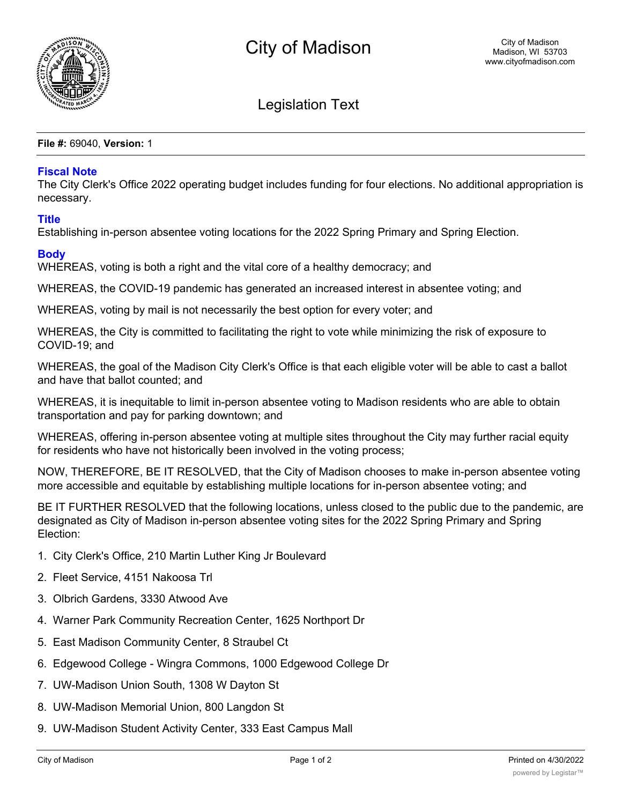

Legislation Text

**File #:** 69040, **Version:** 1

## **Fiscal Note**

The City Clerk's Office 2022 operating budget includes funding for four elections. No additional appropriation is necessary.

## **Title**

Establishing in-person absentee voting locations for the 2022 Spring Primary and Spring Election.

## **Body**

WHEREAS, voting is both a right and the vital core of a healthy democracy; and

WHEREAS, the COVID-19 pandemic has generated an increased interest in absentee voting; and

WHEREAS, voting by mail is not necessarily the best option for every voter; and

WHEREAS, the City is committed to facilitating the right to vote while minimizing the risk of exposure to COVID-19; and

WHEREAS, the goal of the Madison City Clerk's Office is that each eligible voter will be able to cast a ballot and have that ballot counted; and

WHEREAS, it is inequitable to limit in-person absentee voting to Madison residents who are able to obtain transportation and pay for parking downtown; and

WHEREAS, offering in-person absentee voting at multiple sites throughout the City may further racial equity for residents who have not historically been involved in the voting process;

NOW, THEREFORE, BE IT RESOLVED, that the City of Madison chooses to make in-person absentee voting more accessible and equitable by establishing multiple locations for in-person absentee voting; and

BE IT FURTHER RESOLVED that the following locations, unless closed to the public due to the pandemic, are designated as City of Madison in-person absentee voting sites for the 2022 Spring Primary and Spring Election:

- 1. City Clerk's Office, 210 Martin Luther King Jr Boulevard
- 2. Fleet Service, 4151 Nakoosa Trl
- 3. Olbrich Gardens, 3330 Atwood Ave
- 4. Warner Park Community Recreation Center, 1625 Northport Dr
- 5. East Madison Community Center, 8 Straubel Ct
- 6. Edgewood College Wingra Commons, 1000 Edgewood College Dr
- 7. UW-Madison Union South, 1308 W Dayton St
- 8. UW-Madison Memorial Union, 800 Langdon St
- 9. UW-Madison Student Activity Center, 333 East Campus Mall